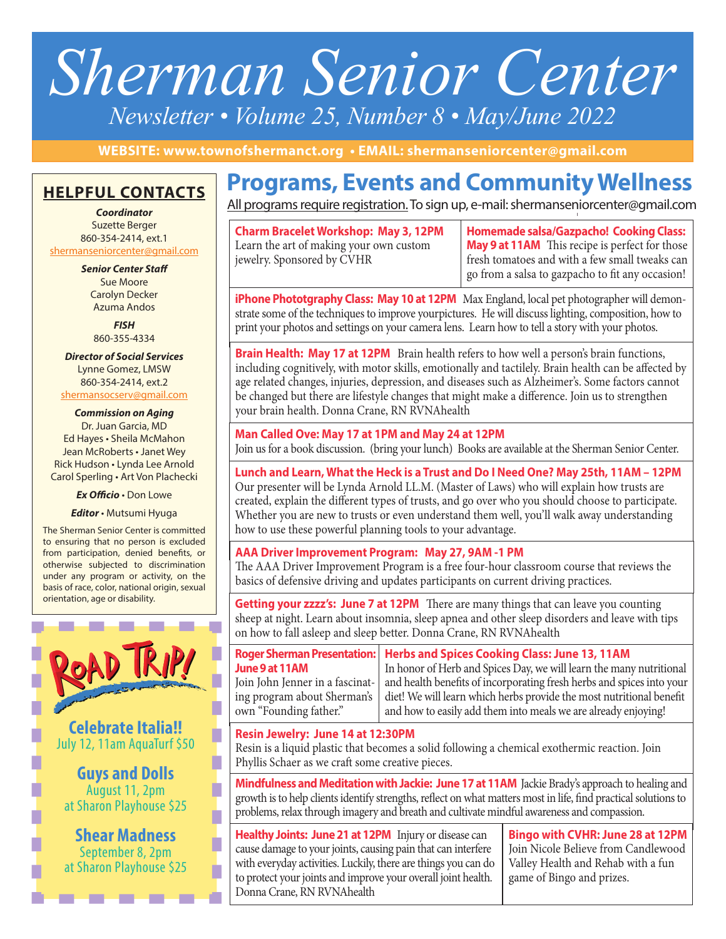# *Sherman Senior Center Newsletter • Volume 25, Number 8 • May/June 2022*

**WEBSITE: www.townofshermanct.org • EMAIL: shermanseniorcenter@gmail.com**

# **HELPFUL CONTACTS**

*Coordinator* Suzette Berger 860-354-2414, ext.1 shermanseniorcenter@gmail.com

*Senior Center Staff*

Sue Moore Carolyn Decker Azuma Andos

*FISH* 860-355-4334

*Director of Social Services* Lynne Gomez, LMSW 860-354-2414, ext.2 shermansocserv@gmail.com

*Commission on Aging* Dr. Juan Garcia, MD Ed Hayes • Sheila McMahon Jean McRoberts • Janet Wey Rick Hudson • Lynda Lee Arnold Carol Sperling • Art Von Plachecki

*Ex Officio* • Don Lowe

*Editor* • Mutsumi Hyuga

The Sherman Senior Center is committed to ensuring that no person is excluded from participation, denied benefits, or otherwise subjected to discrimination under any program or activity, on the basis of race, color, national origin, sexual orientation, age or disability.



# **Programs, Events and Community Wellness**

All programs require registration. To sign up, e-mail: shermanseniorcenter@gmail.com

**Charm Bracelet Workshop: May 3, 12PM** Learn the art of making your own custom jewelry. Sponsored by CVHR

**Homemade salsa/Gazpacho! Cooking Class: May 9 at 11AM** This recipe is perfect for those fresh tomatoes and with a few small tweaks can go from a salsa to gazpacho to fit any occasion!

**iPhone Phototgraphy Class: May 10 at 12PM** Max England, local pet photographer will demonstrate some of the techniques to improve yourpictures. He will discuss lighting, composition, how to print your photos and settings on your camera lens. Learn how to tell a story with your photos.

**Brain Health: May 17 at 12PM** Brain health refers to how well a person's brain functions, including cognitively, with motor skills, emotionally and tactilely. Brain health can be affected by age related changes, injuries, depression, and diseases such as Alzheimer's. Some factors cannot be changed but there are lifestyle changes that might make a difference. Join us to strengthen your brain health. Donna Crane, RN RVNAhealth

**Man Called Ove: May 17 at 1PM and May 24 at 12PM** Join us for a book discussion. (bring your lunch) Books are available at the Sherman Senior Center.

# **Lunch and Learn, What the Heck is a Trust and Do I Need One? May 25th, 11AM – 12PM**

Our presenter will be Lynda Arnold LL.M. (Master of Laws) who will explain how trusts are created, explain the different types of trusts, and go over who you should choose to participate. Whether you are new to trusts or even understand them well, you'll walk away understanding how to use these powerful planning tools to your advantage.

#### **AAA Driver Improvement Program: May 27, 9AM -1 PM**

The AAA Driver Improvement Program is a free four-hour classroom course that reviews the basics of defensive driving and updates participants on current driving practices.

**Getting your zzzz's: June 7 at 12PM** There are many things that can leave you counting sheep at night. Learn about insomnia, sleep apnea and other sleep disorders and leave with tips on how to fall asleep and sleep better. Donna Crane, RN RVNAhealth

**Roger Sherman Presentation: June 9 at 11AM** Join John Jenner in a fascinating program about Sherman's own "Founding father." **Herbs and Spices Cooking Class: June 13, 11AM**  In honor of Herb and Spices Day, we will learn the many nutritional and health benefits of incorporating fresh herbs and spices into your diet! We will learn which herbs provide the most nutritional benefit and how to easily add them into meals we are already enjoying!

#### **Resin Jewelry: June 14 at 12:30PM**

Resin is a liquid plastic that becomes a solid following a chemical exothermic reaction. Join Phyllis Schaer as we craft some creative pieces.

**Mindfulness and Meditation with Jackie: June 17 at 11AM** Jackie Brady's approach to healing and growth is to help clients identify strengths, reflect on what matters most in life, find practical solutions to problems, relax through imagery and breath and cultivate mindful awareness and compassion.

**Healthy Joints: June 21 at 12PM** Injury or disease can cause damage to your joints, causing pain that can interfere with everyday activities. Luckily, there are things you can do to protect your joints and improve your overall joint health. Donna Crane, RN RVNAhealth

**Bingo with CVHR: June 28 at 12PM** Join Nicole Believe from Candlewood Valley Health and Rehab with a fun game of Bingo and prizes.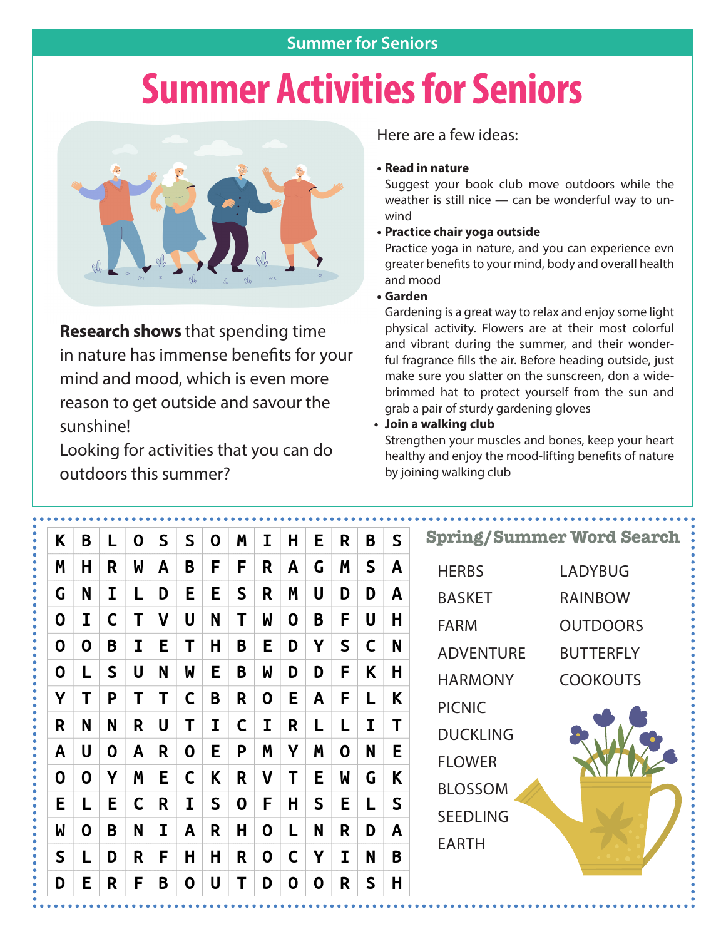## **Summer for Seniors**

# **Summer Activities for Seniors**



**Research shows** that spending time in nature has immense benefits for your mind and mood, which is even more reason to get outside and savour the sunshine!

Looking for activities that you can do outdoors this summer?

Here are a few ideas:

#### **• Read in nature**

Suggest your book club move outdoors while the weather is still nice — can be wonderful way to unwind

### **• Practice chair yoga outside**

Practice yoga in nature, and you can experience evn greater benefits to your mind, body and overall health and mood

### **• Garden**

Gardening is a great way to relax and enjoy some light physical activity. Flowers are at their most colorful and vibrant during the summer, and their wonderful fragrance fills the air. Before heading outside, just make sure you slatter on the sunscreen, don a widebrimmed hat to protect yourself from the sun and grab a pair of sturdy gardening gloves

**• Join a walking club**

Strengthen your muscles and bones, keep your heart healthy and enjoy the mood-lifting benefits of nature by joining walking club

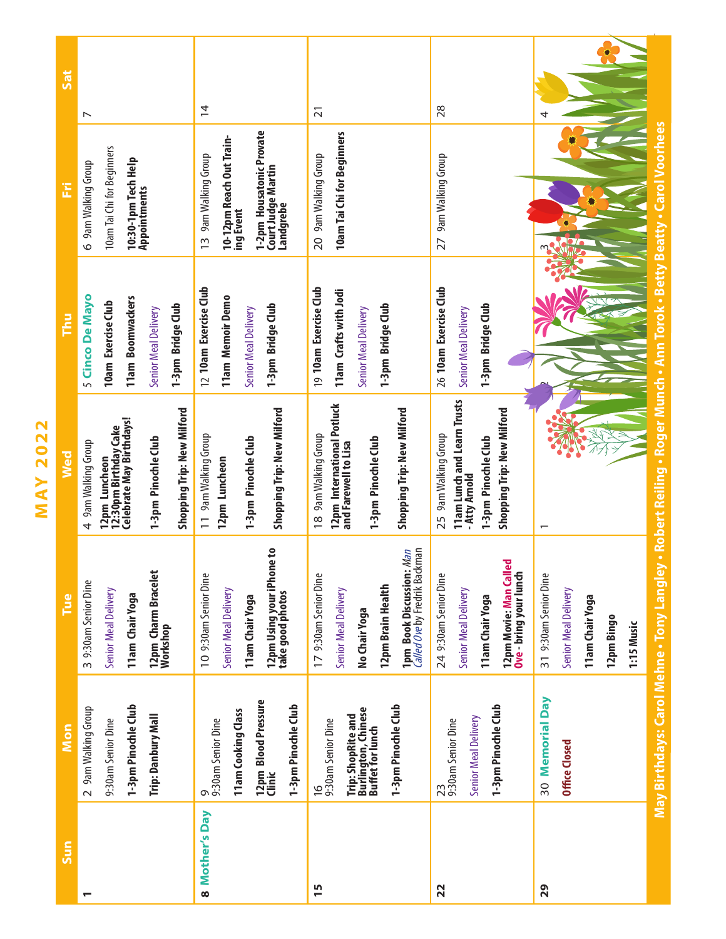| Sat | $\overline{\phantom{0}}$                                                                                                                       | $\overline{4}$                                                                                                               | $\overline{21}$                                                                                                                                                         | 28                                                                                                                        | 4                                                                                                                                                                          |
|-----|------------------------------------------------------------------------------------------------------------------------------------------------|------------------------------------------------------------------------------------------------------------------------------|-------------------------------------------------------------------------------------------------------------------------------------------------------------------------|---------------------------------------------------------------------------------------------------------------------------|----------------------------------------------------------------------------------------------------------------------------------------------------------------------------|
| Ë   | 10am Tai Chi for Beginners<br>10:30-1pm Tech Help<br>6 9am Walking Group<br>Appointments                                                       | 1-2pm Housatonic Provate<br>10-12pm Reach Out Train-<br>13 9am Walking Group<br>Court Judge Martin<br>Landgrebe<br>ing Event | 10am Tai Chi for Beginners<br>20 9am Walking Group                                                                                                                      | 9am Walking Group<br>27                                                                                                   | <b>Carol Voorhees</b>                                                                                                                                                      |
| Thu | 5 Cinco De Mayo<br>11am Boomwackers<br>10am Exercise Club<br>1-3pm Bridge Club<br>Senior Meal Delivery                                         | 12 10am Exercise Club<br>11am Memoir Demo<br>1-3pm Bridge Club<br>Senior Meal Delivery                                       | 19 10am Exercise Club<br>11am Crafts with Jodi<br>1-3pm Bridge Club<br>Senior Meal Delivery                                                                             | 26 10am Exercise Club<br>1-3pm Bridge Club<br>Senior Meal Delivery                                                        | Ann Torok - Betty Beatty -                                                                                                                                                 |
| Wed | Shopping Trip: New Milford<br>12pm Luncheon<br>12:30pm Birthday Cake<br>Celebrate May Birthdays!<br>1-3pm Pinochle Club<br>4 9am Walking Group | Shopping Trip: New Milford<br>11 9am Walking Group<br>1-3pm Pinochle Club<br>12pm Luncheon                                   | 12pm International Potluck<br>Shopping Trip: New Milford<br>18 9am Walking Group<br>1-3pm Pinochle Club<br>and Farewell to Lisa                                         | 11am Lunch and Learn Trusts<br>Shopping Trip: New Milford<br>25 9am Walking Group<br>1-3pm Pinochle Club<br>- Atty Arnold | $\overline{\phantom{0}}$                                                                                                                                                   |
| Tue | 12pm Charm Bracelet<br>Workshop<br>3 9:30am Senior Dine<br>Senior Meal Delivery<br>11am Chair Yoga                                             | 12pm Using your iPhone to<br>take good photos<br>10 9:30am Senior Dine<br>Senior Meal Delivery<br>11 am Chair Yoga           | hemal:<br>Man<br><b>1pm Book Discussion:</b><br><i>Called Ove</i> by Fredrik Bac<br>17 9:30am Senior Dine<br>12pm Brain Health<br>Senior Meal Delivery<br>No Chair Yoga | ್ಥ<br>12pm Movie: Man Call<br>Ove - bring your lunch<br>24 9:30am Senior Dine<br>Senior Meal Delivery<br>11 am Chair Yoga | May Birthdays: Carol Mehne • Tony Langley • Robert Reiling • Roger Munch •<br>31 9:30am Senior Dine<br>Senior Meal Delivery<br>11am Chair Yoga<br>12pm Bingo<br>1:15 Music |
| Mon | 1-3pm Pinochle Club<br>2 9am Walking Group<br>Trip: Danbury Mall<br>9:30am Senior Dine                                                         | 12pm Blood Pressure<br>Clinic<br>1-3pm Pinochle Club<br>11am Cooking Class<br>9<br>9:30am Senior Dine                        | 1-3pm Pinochle Club<br>Trip: ShopRite and<br>Burlington, Chinese<br>Buffet for lunch<br>16<br>9:30am Senior Dine                                                        | 1-3pm Pinochle Club<br>Senior Meal Delivery<br>$\frac{23}{9:30}$ am Senior Dine                                           | 30 Memorial Day<br>Office Closed                                                                                                                                           |
| Sun |                                                                                                                                                | 8 Mother's Day                                                                                                               | 15                                                                                                                                                                      | 22                                                                                                                        | 29                                                                                                                                                                         |

**MAY 2022 MAY 2022**